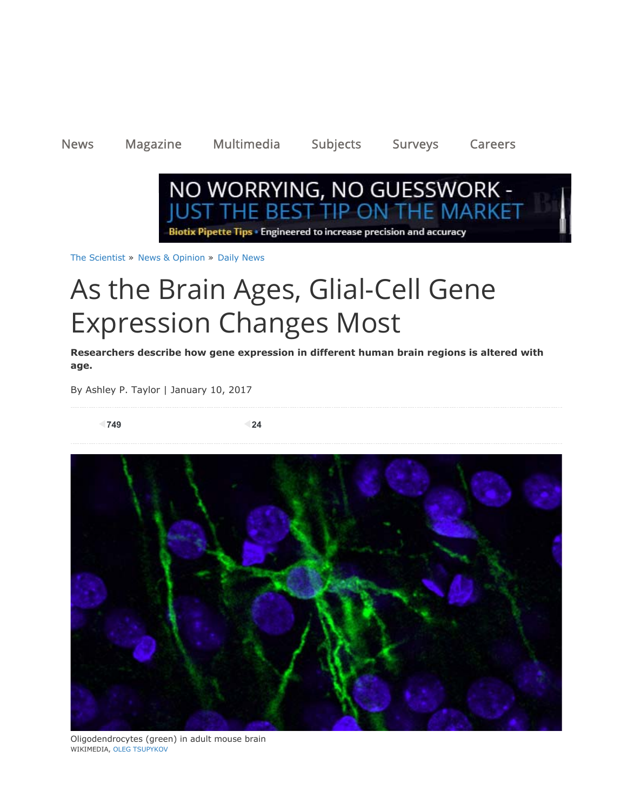News Magazine Multimedia Subjects Surveys Careers



The Scientist » News & Opinion » Daily News

# As the Brain Ages, Glial-Cell Gene Expression Changes Most

**Researchers describe how gene expression in different human brain regions is altered with age.**

By Ashley P. Taylor | January 10, 2017

**749 24**



Oligodendrocytes (green) in adult mouse brain WIKIMEDIA, OLEG TSUPYKOV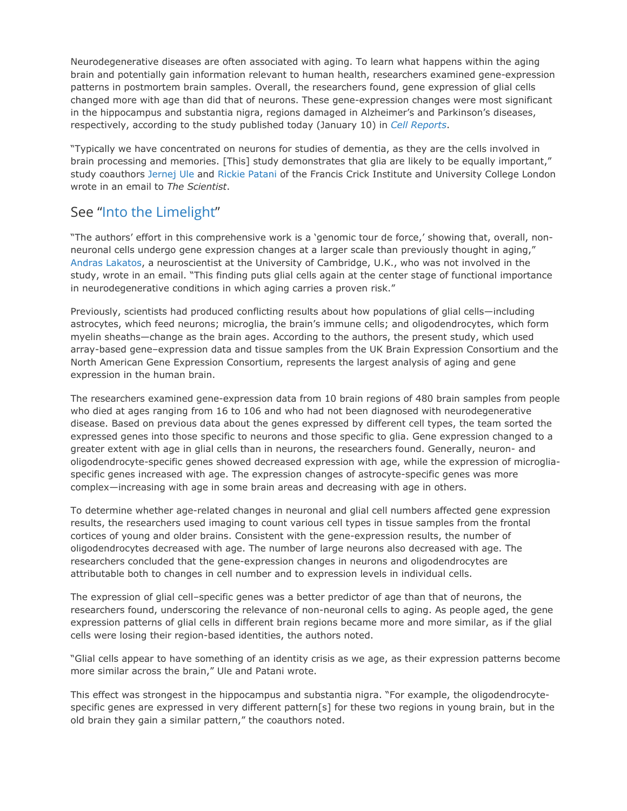Neurodegenerative diseases are often associated with aging. To learn what happens within the aging brain and potentially gain information relevant to human health, researchers examined gene-expression patterns in postmortem brain samples. Overall, the researchers found, gene expression of glial cells changed more with age than did that of neurons. These gene-expression changes were most significant in the hippocampus and substantia nigra, regions damaged in Alzheimer's and Parkinson's diseases, respectively, according to the study published today (January 10) in *Cell Reports*.

"Typically we have concentrated on neurons for studies of dementia, as they are the cells involved in brain processing and memories. [This] study demonstrates that glia are likely to be equally important," study coauthors Jernej Ule and Rickie Patani of the Francis Crick Institute and University College London wrote in an email to *The Scientist*.

### See "Into the Limelight"

"The authors' effort in this comprehensive work is a 'genomic tour de force,' showing that, overall, nonneuronal cells undergo gene expression changes at a larger scale than previously thought in aging," Andras Lakatos, a neuroscientist at the University of Cambridge, U.K., who was not involved in the study, wrote in an email. "This finding puts glial cells again at the center stage of functional importance in neurodegenerative conditions in which aging carries a proven risk."

Previously, scientists had produced conflicting results about how populations of glial cells—including astrocytes, which feed neurons; microglia, the brain's immune cells; and oligodendrocytes, which form myelin sheaths—change as the brain ages. According to the authors, the present study, which used array-based gene–expression data and tissue samples from the UK Brain Expression Consortium and the North American Gene Expression Consortium, represents the largest analysis of aging and gene expression in the human brain.

The researchers examined gene-expression data from 10 brain regions of 480 brain samples from people who died at ages ranging from 16 to 106 and who had not been diagnosed with neurodegenerative disease. Based on previous data about the genes expressed by different cell types, the team sorted the expressed genes into those specific to neurons and those specific to glia. Gene expression changed to a greater extent with age in glial cells than in neurons, the researchers found. Generally, neuron- and oligodendrocyte-specific genes showed decreased expression with age, while the expression of microgliaspecific genes increased with age. The expression changes of astrocyte-specific genes was more complex—increasing with age in some brain areas and decreasing with age in others.

To determine whether age-related changes in neuronal and glial cell numbers affected gene expression results, the researchers used imaging to count various cell types in tissue samples from the frontal cortices of young and older brains. Consistent with the gene-expression results, the number of oligodendrocytes decreased with age. The number of large neurons also decreased with age. The researchers concluded that the gene-expression changes in neurons and oligodendrocytes are attributable both to changes in cell number and to expression levels in individual cells.

The expression of glial cell–specific genes was a better predictor of age than that of neurons, the researchers found, underscoring the relevance of non-neuronal cells to aging. As people aged, the gene expression patterns of glial cells in different brain regions became more and more similar, as if the glial cells were losing their region-based identities, the authors noted.

"Glial cells appear to have something of an identity crisis as we age, as their expression patterns become more similar across the brain," Ule and Patani wrote.

This effect was strongest in the hippocampus and substantia nigra. "For example, the oligodendrocytespecific genes are expressed in very different pattern[s] for these two regions in young brain, but in the old brain they gain a similar pattern," the coauthors noted.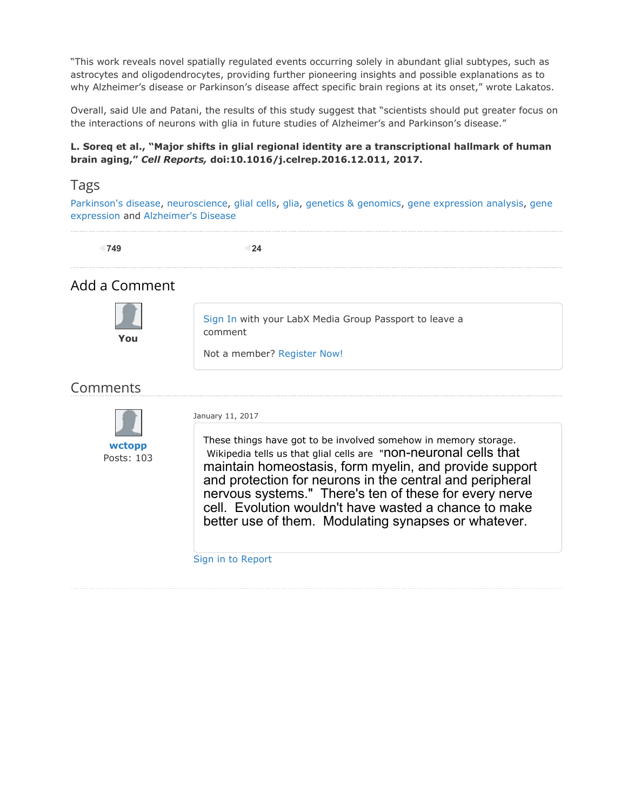"This work reveals novel spatially regulated events occurring solely in abundant glial subtypes, such as astrocytes and oligodendrocytes, providing further pioneering insights and possible explanations as to why Alzheimer's disease or Parkinson's disease affect specific brain regions at its onset," wrote Lakatos.

Overall, said Ule and Patani, the results of this study suggest that "scientists should put greater focus on the interactions of neurons with glia in future studies of Alzheimer's and Parkinson's disease."

#### **L. Soreq et al., "Major shifts in glial regional identity are a transcriptional hallmark of human brain aging,"** *Cell Reports,* **doi:10.1016/j.celrep.2016.12.011, 2017.**

#### Tags

Parkinson's disease, neuroscience, glial cells, glia, genetics & genomics, gene expression analysis, gene expression and Alzheimer's Disease

| 749                  | 24                                                                                                                                                                                                                                                                                                                                                                                                                                                                            |
|----------------------|-------------------------------------------------------------------------------------------------------------------------------------------------------------------------------------------------------------------------------------------------------------------------------------------------------------------------------------------------------------------------------------------------------------------------------------------------------------------------------|
| Add a Comment        |                                                                                                                                                                                                                                                                                                                                                                                                                                                                               |
| You                  | Sign In with your LabX Media Group Passport to leave a<br>comment<br>Not a member? Register Now!                                                                                                                                                                                                                                                                                                                                                                              |
| Comments             |                                                                                                                                                                                                                                                                                                                                                                                                                                                                               |
| wctopp<br>Posts: 103 | January 11, 2017<br>These things have got to be involved somehow in memory storage.<br>Wikipedia tells us that glial cells are "non-neuronal cells that<br>maintain homeostasis, form myelin, and provide support<br>and protection for neurons in the central and peripheral<br>nervous systems." There's ten of these for every nerve<br>cell. Evolution wouldn't have wasted a chance to make<br>better use of them. Modulating synapses or whatever.<br>Sign in to Report |
|                      |                                                                                                                                                                                                                                                                                                                                                                                                                                                                               |